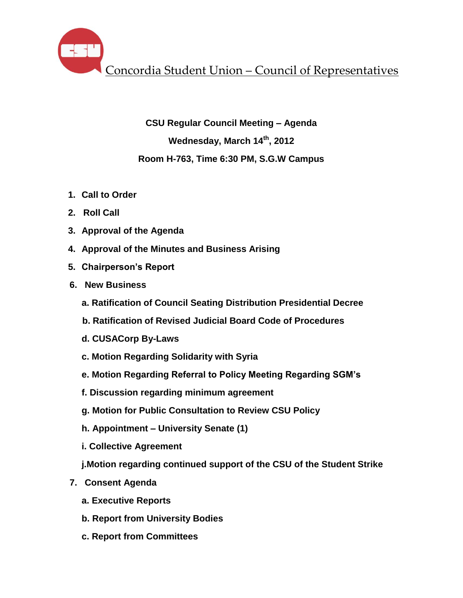**CSU Regular Council Meeting – Agenda Wednesday, March 14th , 2012 Room H-763, Time 6:30 PM, S.G.W Campus**

- **1. Call to Order**
- **2. Roll Call**
- **3. Approval of the Agenda**
- **4. Approval of the Minutes and Business Arising**
- **5. Chairperson's Report**
- **6. New Business**
	- **a. Ratification of Council Seating Distribution Presidential Decree**
	- **b. Ratification of Revised Judicial Board Code of Procedures**
	- **d. CUSACorp By-Laws**
	- **c. Motion Regarding Solidarity with Syria**
	- **e. Motion Regarding Referral to Policy Meeting Regarding SGM's**
	- **f. Discussion regarding minimum agreement**
	- **g. Motion for Public Consultation to Review CSU Policy**
	- **h. Appointment – University Senate (1)**
	- **i. Collective Agreement**
	- **j.Motion regarding continued support of the CSU of the Student Strike**
- **7. Consent Agenda**
	- **a. Executive Reports**
	- **b. Report from University Bodies**
	- **c. Report from Committees**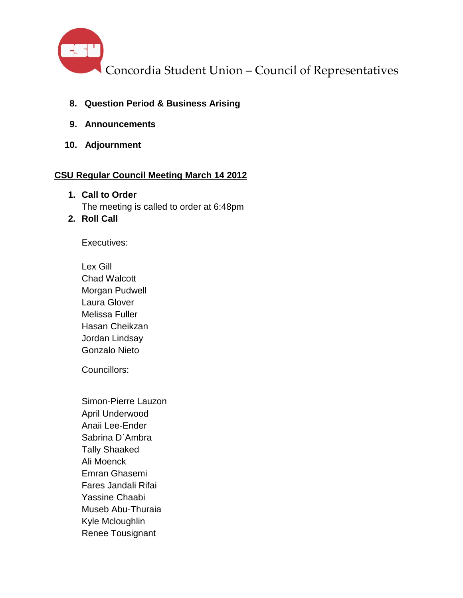

- **8. Question Period & Business Arising**
- **9. Announcements**
- **10. Adjournment**

## **CSU Regular Council Meeting March 14 2012**

- **1. Call to Order** The meeting is called to order at 6:48pm
- **2. Roll Call**

Executives:

Lex Gill Chad Walcott Morgan Pudwell Laura Glover Melissa Fuller Hasan Cheikzan Jordan Lindsay Gonzalo Nieto

Councillors:

Simon-Pierre Lauzon April Underwood Anaii Lee-Ender Sabrina D`Ambra Tally Shaaked Ali Moenck Emran Ghasemi Fares Jandali Rifai Yassine Chaabi Museb Abu-Thuraia Kyle Mcloughlin Renee Tousignant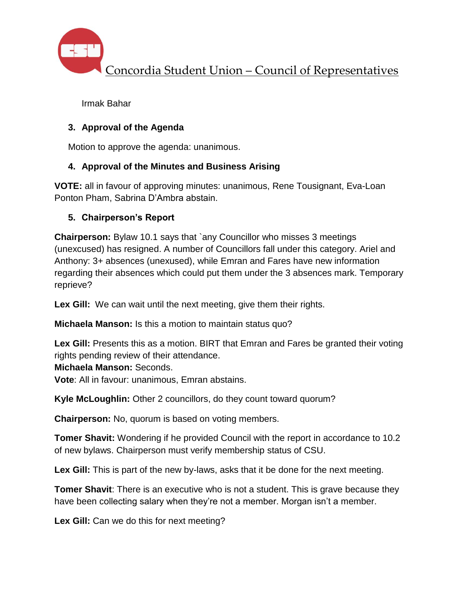

Irmak Bahar

## **3. Approval of the Agenda**

Motion to approve the agenda: unanimous.

## **4. Approval of the Minutes and Business Arising**

**VOTE:** all in favour of approving minutes: unanimous, Rene Tousignant, Eva-Loan Ponton Pham, Sabrina D'Ambra abstain.

## **5. Chairperson's Report**

**Chairperson:** Bylaw 10.1 says that `any Councillor who misses 3 meetings (unexcused) has resigned. A number of Councillors fall under this category. Ariel and Anthony: 3+ absences (unexused), while Emran and Fares have new information regarding their absences which could put them under the 3 absences mark. Temporary reprieve?

**Lex Gill:** We can wait until the next meeting, give them their rights.

**Michaela Manson:** Is this a motion to maintain status quo?

**Lex Gill:** Presents this as a motion. BIRT that Emran and Fares be granted their voting rights pending review of their attendance.

**Michaela Manson:** Seconds.

**Vote**: All in favour: unanimous, Emran abstains.

**Kyle McLoughlin:** Other 2 councillors, do they count toward quorum?

**Chairperson:** No, quorum is based on voting members.

**Tomer Shavit:** Wondering if he provided Council with the report in accordance to 10.2 of new bylaws. Chairperson must verify membership status of CSU.

**Lex Gill:** This is part of the new by-laws, asks that it be done for the next meeting.

**Tomer Shavit**: There is an executive who is not a student. This is grave because they have been collecting salary when they're not a member. Morgan isn't a member.

**Lex Gill:** Can we do this for next meeting?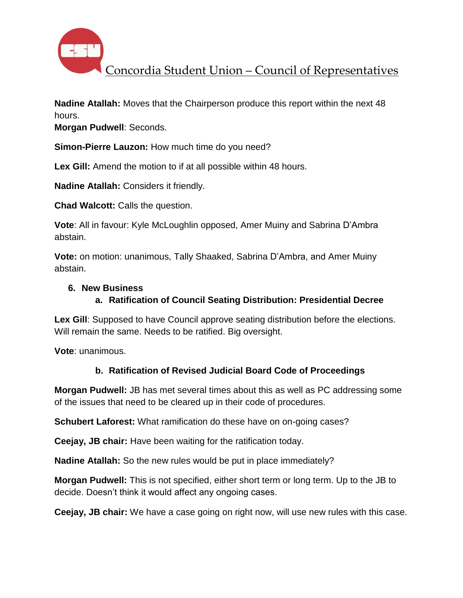

**Nadine Atallah:** Moves that the Chairperson produce this report within the next 48 hours.

**Morgan Pudwell**: Seconds.

**Simon-Pierre Lauzon:** How much time do you need?

**Lex Gill:** Amend the motion to if at all possible within 48 hours.

**Nadine Atallah:** Considers it friendly.

**Chad Walcott:** Calls the question.

**Vote**: All in favour: Kyle McLoughlin opposed, Amer Muiny and Sabrina D'Ambra abstain.

**Vote:** on motion: unanimous, Tally Shaaked, Sabrina D'Ambra, and Amer Muiny abstain.

### **6. New Business**

### **a. Ratification of Council Seating Distribution: Presidential Decree**

**Lex Gill**: Supposed to have Council approve seating distribution before the elections. Will remain the same. Needs to be ratified. Big oversight.

**Vote**: unanimous.

### **b. Ratification of Revised Judicial Board Code of Proceedings**

**Morgan Pudwell:** JB has met several times about this as well as PC addressing some of the issues that need to be cleared up in their code of procedures.

**Schubert Laforest:** What ramification do these have on on-going cases?

**Ceejay, JB chair:** Have been waiting for the ratification today.

**Nadine Atallah:** So the new rules would be put in place immediately?

**Morgan Pudwell:** This is not specified, either short term or long term. Up to the JB to decide. Doesn't think it would affect any ongoing cases.

**Ceejay, JB chair:** We have a case going on right now, will use new rules with this case.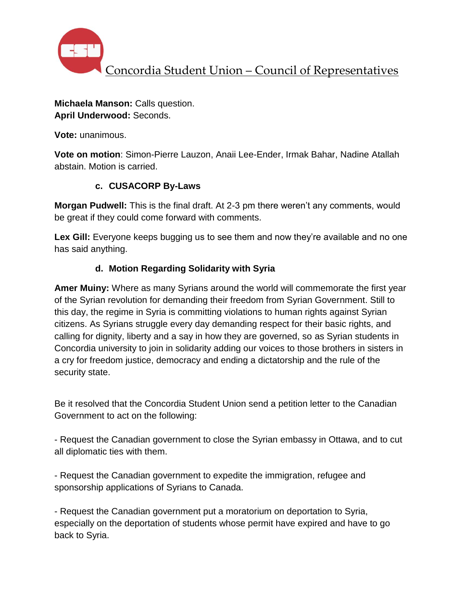

## **Michaela Manson:** Calls question. **April Underwood:** Seconds.

**Vote:** unanimous.

**Vote on motion**: Simon-Pierre Lauzon, Anaii Lee-Ender, Irmak Bahar, Nadine Atallah abstain. Motion is carried.

# **c. CUSACORP By-Laws**

**Morgan Pudwell:** This is the final draft. At 2-3 pm there weren't any comments, would be great if they could come forward with comments.

Lex Gill: Everyone keeps bugging us to see them and now they're available and no one has said anything.

# **d. Motion Regarding Solidarity with Syria**

**Amer Muiny:** Where as many Syrians around the world will commemorate the first year of the Syrian revolution for demanding their freedom from Syrian Government. Still to this day, the regime in Syria is committing violations to human rights against Syrian citizens. As Syrians struggle every day demanding respect for their basic rights, and calling for dignity, liberty and a say in how they are governed, so as Syrian students in Concordia university to join in solidarity adding our voices to those brothers in sisters in a cry for freedom justice, democracy and ending a dictatorship and the rule of the security state.

Be it resolved that the Concordia Student Union send a petition letter to the Canadian Government to act on the following:

- Request the Canadian government to close the Syrian embassy in Ottawa, and to cut all diplomatic ties with them.

- Request the Canadian government to expedite the immigration, refugee and sponsorship applications of Syrians to Canada.

- Request the Canadian government put a moratorium on deportation to Syria, especially on the deportation of students whose permit have expired and have to go back to Syria.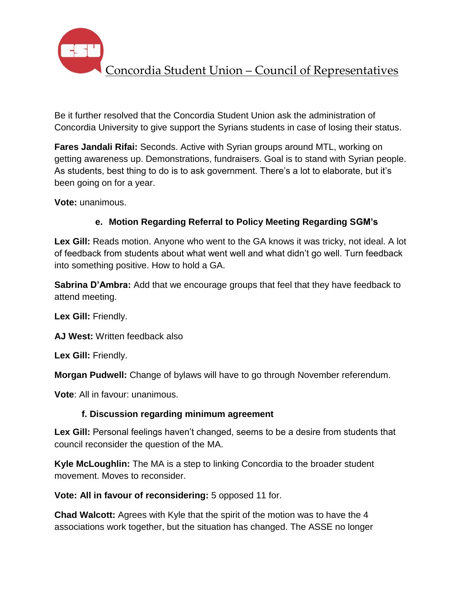

Be it further resolved that the Concordia Student Union ask the administration of Concordia University to give support the Syrians students in case of losing their status.

**Fares Jandali Rifai:** Seconds. Active with Syrian groups around MTL, working on getting awareness up. Demonstrations, fundraisers. Goal is to stand with Syrian people. As students, best thing to do is to ask government. There's a lot to elaborate, but it's been going on for a year.

**Vote:** unanimous.

# **e. Motion Regarding Referral to Policy Meeting Regarding SGM's**

**Lex Gill:** Reads motion. Anyone who went to the GA knows it was tricky, not ideal. A lot of feedback from students about what went well and what didn't go well. Turn feedback into something positive. How to hold a GA.

**Sabrina D'Ambra:** Add that we encourage groups that feel that they have feedback to attend meeting.

**Lex Gill:** Friendly.

**AJ West:** Written feedback also

**Lex Gill:** Friendly.

**Morgan Pudwell:** Change of bylaws will have to go through November referendum.

**Vote**: All in favour: unanimous.

# **f. Discussion regarding minimum agreement**

**Lex Gill:** Personal feelings haven't changed, seems to be a desire from students that council reconsider the question of the MA.

**Kyle McLoughlin:** The MA is a step to linking Concordia to the broader student movement. Moves to reconsider.

**Vote: All in favour of reconsidering:** 5 opposed 11 for.

**Chad Walcott:** Agrees with Kyle that the spirit of the motion was to have the 4 associations work together, but the situation has changed. The ASSE no longer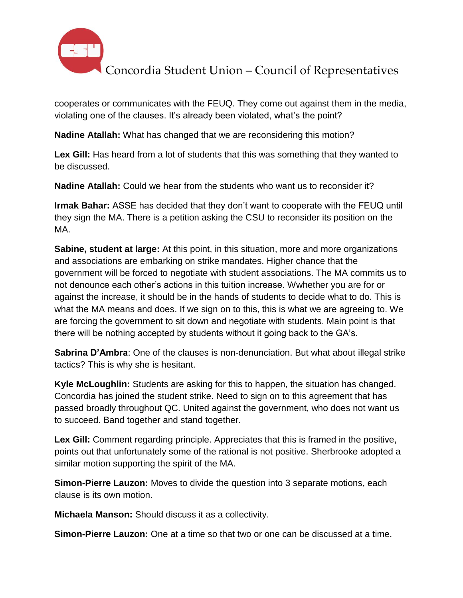

cooperates or communicates with the FEUQ. They come out against them in the media, violating one of the clauses. It's already been violated, what's the point?

**Nadine Atallah:** What has changed that we are reconsidering this motion?

**Lex Gill:** Has heard from a lot of students that this was something that they wanted to be discussed.

**Nadine Atallah:** Could we hear from the students who want us to reconsider it?

**Irmak Bahar:** ASSE has decided that they don't want to cooperate with the FEUQ until they sign the MA. There is a petition asking the CSU to reconsider its position on the MA.

**Sabine, student at large:** At this point, in this situation, more and more organizations and associations are embarking on strike mandates. Higher chance that the government will be forced to negotiate with student associations. The MA commits us to not denounce each other's actions in this tuition increase. Wwhether you are for or against the increase, it should be in the hands of students to decide what to do. This is what the MA means and does. If we sign on to this, this is what we are agreeing to. We are forcing the government to sit down and negotiate with students. Main point is that there will be nothing accepted by students without it going back to the GA's.

**Sabrina D'Ambra**: One of the clauses is non-denunciation. But what about illegal strike tactics? This is why she is hesitant.

**Kyle McLoughlin:** Students are asking for this to happen, the situation has changed. Concordia has joined the student strike. Need to sign on to this agreement that has passed broadly throughout QC. United against the government, who does not want us to succeed. Band together and stand together.

**Lex Gill:** Comment regarding principle. Appreciates that this is framed in the positive, points out that unfortunately some of the rational is not positive. Sherbrooke adopted a similar motion supporting the spirit of the MA.

**Simon-Pierre Lauzon:** Moves to divide the question into 3 separate motions, each clause is its own motion.

**Michaela Manson:** Should discuss it as a collectivity.

**Simon-Pierre Lauzon:** One at a time so that two or one can be discussed at a time.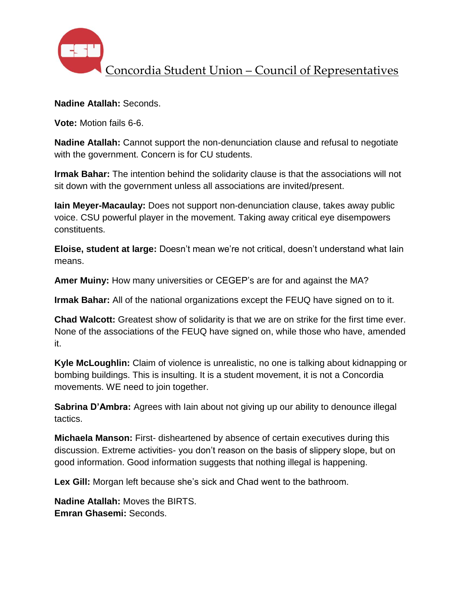

**Nadine Atallah:** Seconds.

**Vote:** Motion fails 6-6.

**Nadine Atallah:** Cannot support the non-denunciation clause and refusal to negotiate with the government. Concern is for CU students.

**Irmak Bahar:** The intention behind the solidarity clause is that the associations will not sit down with the government unless all associations are invited/present.

**Iain Meyer-Macaulay:** Does not support non-denunciation clause, takes away public voice. CSU powerful player in the movement. Taking away critical eye disempowers constituents.

**Eloise, student at large:** Doesn't mean we're not critical, doesn't understand what Iain means.

**Amer Muiny:** How many universities or CEGEP's are for and against the MA?

**Irmak Bahar:** All of the national organizations except the FEUQ have signed on to it.

**Chad Walcott:** Greatest show of solidarity is that we are on strike for the first time ever. None of the associations of the FEUQ have signed on, while those who have, amended it.

**Kyle McLoughlin:** Claim of violence is unrealistic, no one is talking about kidnapping or bombing buildings. This is insulting. It is a student movement, it is not a Concordia movements. WE need to join together.

**Sabrina D'Ambra:** Agrees with Iain about not giving up our ability to denounce illegal tactics.

**Michaela Manson:** First- disheartened by absence of certain executives during this discussion. Extreme activities- you don't reason on the basis of slippery slope, but on good information. Good information suggests that nothing illegal is happening.

**Lex Gill:** Morgan left because she's sick and Chad went to the bathroom.

**Nadine Atallah:** Moves the BIRTS. **Emran Ghasemi:** Seconds.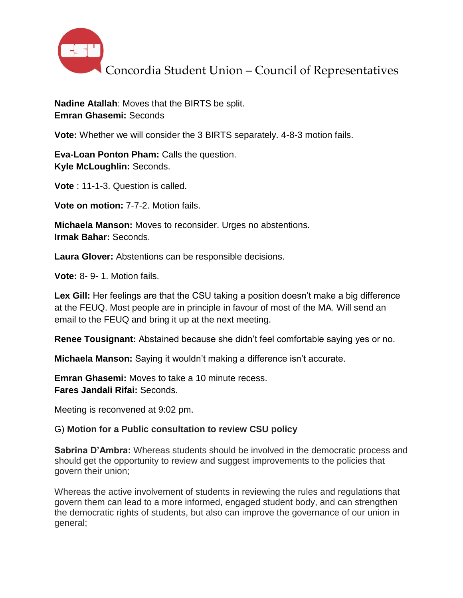

**Nadine Atallah**: Moves that the BIRTS be split. **Emran Ghasemi:** Seconds

**Vote:** Whether we will consider the 3 BIRTS separately. 4-8-3 motion fails.

**Eva-Loan Ponton Pham:** Calls the question. **Kyle McLoughlin:** Seconds.

**Vote** : 11-1-3. Question is called.

**Vote on motion:** 7-7-2. Motion fails.

**Michaela Manson:** Moves to reconsider. Urges no abstentions. **Irmak Bahar:** Seconds.

**Laura Glover:** Abstentions can be responsible decisions.

**Vote:** 8- 9- 1. Motion fails.

**Lex Gill:** Her feelings are that the CSU taking a position doesn't make a big difference at the FEUQ. Most people are in principle in favour of most of the MA. Will send an email to the FEUQ and bring it up at the next meeting.

**Renee Tousignant:** Abstained because she didn't feel comfortable saying yes or no.

**Michaela Manson:** Saying it wouldn't making a difference isn't accurate.

**Emran Ghasemi:** Moves to take a 10 minute recess. **Fares Jandali Rifai:** Seconds.

Meeting is reconvened at 9:02 pm.

### G) **Motion for a Public consultation to review CSU policy**

**Sabrina D'Ambra:** Whereas students should be involved in the democratic process and should get the opportunity to review and suggest improvements to the policies that govern their union;

Whereas the active involvement of students in reviewing the rules and regulations that govern them can lead to a more informed, engaged student body, and can strengthen the democratic rights of students, but also can improve the governance of our union in general;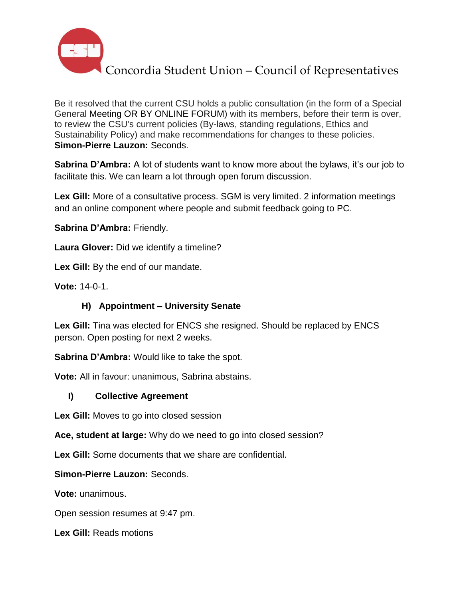

Be it resolved that the current CSU holds a public consultation (in the form of a Special General Meeting OR BY ONLINE FORUM) with its members, before their term is over, to review the CSU's current policies (By-laws, standing regulations, Ethics and Sustainability Policy) and make recommendations for changes to these policies. **Simon-Pierre Lauzon:** Seconds.

**Sabrina D'Ambra:** A lot of students want to know more about the bylaws, it's our job to facilitate this. We can learn a lot through open forum discussion.

**Lex Gill:** More of a consultative process. SGM is very limited. 2 information meetings and an online component where people and submit feedback going to PC.

**Sabrina D'Ambra:** Friendly.

**Laura Glover:** Did we identify a timeline?

**Lex Gill:** By the end of our mandate.

**Vote:** 14-0-1.

# **H) Appointment – University Senate**

**Lex Gill:** Tina was elected for ENCS she resigned. Should be replaced by ENCS person. Open posting for next 2 weeks.

**Sabrina D'Ambra:** Would like to take the spot.

**Vote:** All in favour: unanimous, Sabrina abstains.

# **I) Collective Agreement**

**Lex Gill:** Moves to go into closed session

**Ace, student at large:** Why do we need to go into closed session?

**Lex Gill:** Some documents that we share are confidential.

### **Simon-Pierre Lauzon:** Seconds.

**Vote:** unanimous.

Open session resumes at 9:47 pm.

**Lex Gill:** Reads motions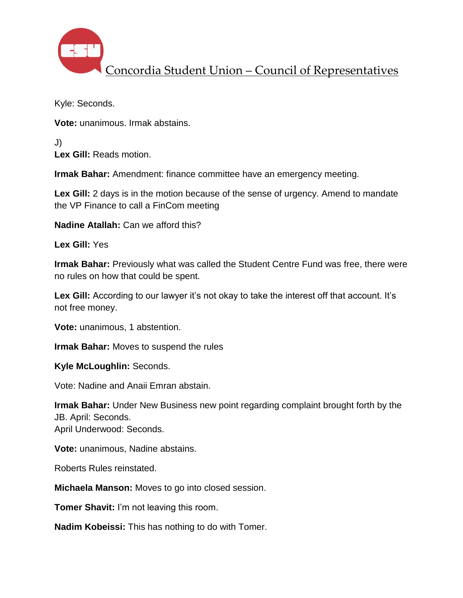

Kyle: Seconds.

**Vote:** unanimous. Irmak abstains.

J) **Lex Gill:** Reads motion.

**Irmak Bahar:** Amendment: finance committee have an emergency meeting.

**Lex Gill:** 2 days is in the motion because of the sense of urgency. Amend to mandate the VP Finance to call a FinCom meeting

**Nadine Atallah:** Can we afford this?

**Lex Gill:** Yes

**Irmak Bahar:** Previously what was called the Student Centre Fund was free, there were no rules on how that could be spent.

Lex Gill: According to our lawyer it's not okay to take the interest off that account. It's not free money.

**Vote:** unanimous, 1 abstention.

**Irmak Bahar:** Moves to suspend the rules

**Kyle McLoughlin:** Seconds.

Vote: Nadine and Anaii Emran abstain.

**Irmak Bahar:** Under New Business new point regarding complaint brought forth by the JB. April: Seconds.

April Underwood: Seconds.

**Vote:** unanimous, Nadine abstains.

Roberts Rules reinstated.

**Michaela Manson:** Moves to go into closed session.

**Tomer Shavit:** I'm not leaving this room.

**Nadim Kobeissi:** This has nothing to do with Tomer.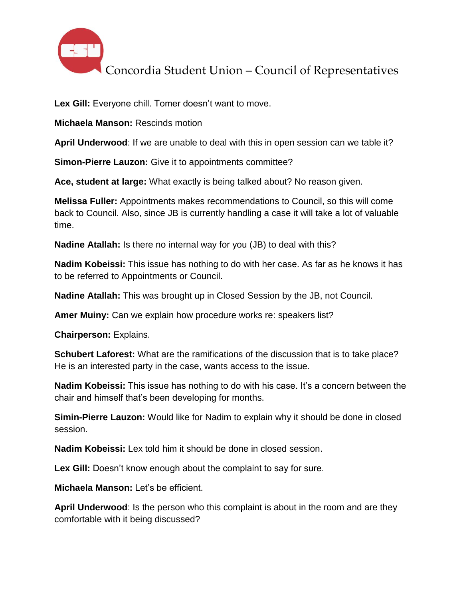

Lex Gill: Everyone chill. Tomer doesn't want to move.

**Michaela Manson:** Rescinds motion

**April Underwood**: If we are unable to deal with this in open session can we table it?

**Simon-Pierre Lauzon:** Give it to appointments committee?

**Ace, student at large:** What exactly is being talked about? No reason given.

**Melissa Fuller:** Appointments makes recommendations to Council, so this will come back to Council. Also, since JB is currently handling a case it will take a lot of valuable time.

**Nadine Atallah:** Is there no internal way for you (JB) to deal with this?

**Nadim Kobeissi:** This issue has nothing to do with her case. As far as he knows it has to be referred to Appointments or Council.

**Nadine Atallah:** This was brought up in Closed Session by the JB, not Council.

**Amer Muiny:** Can we explain how procedure works re: speakers list?

**Chairperson:** Explains.

**Schubert Laforest:** What are the ramifications of the discussion that is to take place? He is an interested party in the case, wants access to the issue.

**Nadim Kobeissi:** This issue has nothing to do with his case. It's a concern between the chair and himself that's been developing for months.

**Simin-Pierre Lauzon:** Would like for Nadim to explain why it should be done in closed session.

**Nadim Kobeissi:** Lex told him it should be done in closed session.

**Lex Gill:** Doesn't know enough about the complaint to say for sure.

**Michaela Manson:** Let's be efficient.

**April Underwood**: Is the person who this complaint is about in the room and are they comfortable with it being discussed?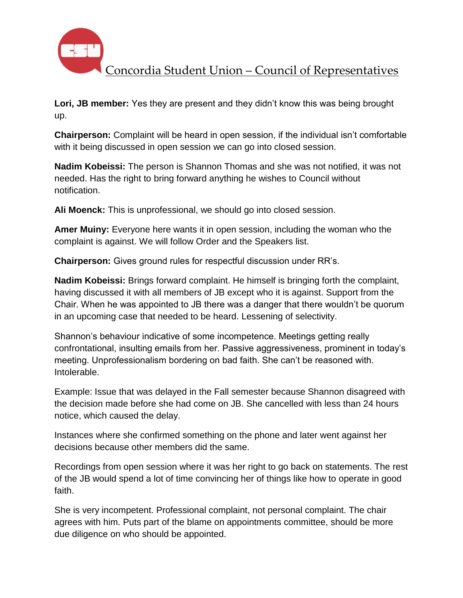

**Lori, JB member:** Yes they are present and they didn't know this was being brought up.

**Chairperson:** Complaint will be heard in open session, if the individual isn't comfortable with it being discussed in open session we can go into closed session.

**Nadim Kobeissi:** The person is Shannon Thomas and she was not notified, it was not needed. Has the right to bring forward anything he wishes to Council without notification.

**Ali Moenck:** This is unprofessional, we should go into closed session.

**Amer Muiny:** Everyone here wants it in open session, including the woman who the complaint is against. We will follow Order and the Speakers list.

**Chairperson:** Gives ground rules for respectful discussion under RR's.

**Nadim Kobeissi:** Brings forward complaint. He himself is bringing forth the complaint, having discussed it with all members of JB except who it is against. Support from the Chair. When he was appointed to JB there was a danger that there wouldn't be quorum in an upcoming case that needed to be heard. Lessening of selectivity.

Shannon's behaviour indicative of some incompetence. Meetings getting really confrontational, insulting emails from her. Passive aggressiveness, prominent in today's meeting. Unprofessionalism bordering on bad faith. She can't be reasoned with. Intolerable.

Example: Issue that was delayed in the Fall semester because Shannon disagreed with the decision made before she had come on JB. She cancelled with less than 24 hours notice, which caused the delay.

Instances where she confirmed something on the phone and later went against her decisions because other members did the same.

Recordings from open session where it was her right to go back on statements. The rest of the JB would spend a lot of time convincing her of things like how to operate in good faith.

She is very incompetent. Professional complaint, not personal complaint. The chair agrees with him. Puts part of the blame on appointments committee, should be more due diligence on who should be appointed.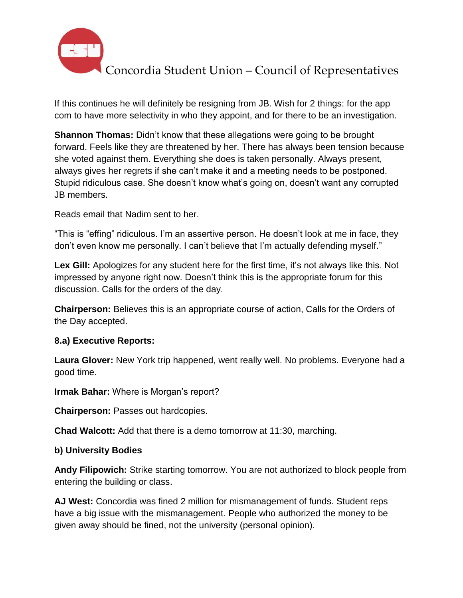

If this continues he will definitely be resigning from JB. Wish for 2 things: for the app com to have more selectivity in who they appoint, and for there to be an investigation.

**Shannon Thomas:** Didn't know that these allegations were going to be brought forward. Feels like they are threatened by her. There has always been tension because she voted against them. Everything she does is taken personally. Always present, always gives her regrets if she can't make it and a meeting needs to be postponed. Stupid ridiculous case. She doesn't know what's going on, doesn't want any corrupted JB members.

Reads email that Nadim sent to her.

"This is "effing" ridiculous. I'm an assertive person. He doesn't look at me in face, they don't even know me personally. I can't believe that I'm actually defending myself."

**Lex Gill:** Apologizes for any student here for the first time, it's not always like this. Not impressed by anyone right now. Doesn't think this is the appropriate forum for this discussion. Calls for the orders of the day.

**Chairperson:** Believes this is an appropriate course of action, Calls for the Orders of the Day accepted.

# **8.a) Executive Reports:**

**Laura Glover:** New York trip happened, went really well. No problems. Everyone had a good time.

**Irmak Bahar:** Where is Morgan's report?

**Chairperson:** Passes out hardcopies.

**Chad Walcott:** Add that there is a demo tomorrow at 11:30, marching.

# **b) University Bodies**

**Andy Filipowich:** Strike starting tomorrow. You are not authorized to block people from entering the building or class.

**AJ West:** Concordia was fined 2 million for mismanagement of funds. Student reps have a big issue with the mismanagement. People who authorized the money to be given away should be fined, not the university (personal opinion).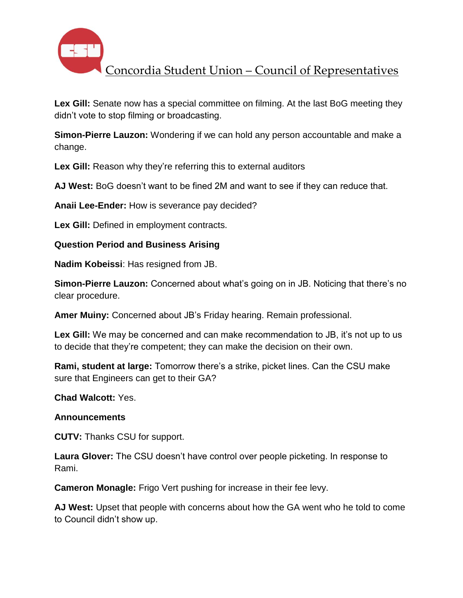

**Lex Gill:** Senate now has a special committee on filming. At the last BoG meeting they didn't vote to stop filming or broadcasting.

**Simon-Pierre Lauzon:** Wondering if we can hold any person accountable and make a change.

**Lex Gill:** Reason why they're referring this to external auditors

**AJ West:** BoG doesn't want to be fined 2M and want to see if they can reduce that.

**Anaii Lee-Ender:** How is severance pay decided?

**Lex Gill:** Defined in employment contracts.

### **Question Period and Business Arising**

**Nadim Kobeissi**: Has resigned from JB.

**Simon-Pierre Lauzon:** Concerned about what's going on in JB. Noticing that there's no clear procedure.

**Amer Muiny:** Concerned about JB's Friday hearing. Remain professional.

**Lex Gill:** We may be concerned and can make recommendation to JB, it's not up to us to decide that they're competent; they can make the decision on their own.

**Rami, student at large:** Tomorrow there's a strike, picket lines. Can the CSU make sure that Engineers can get to their GA?

**Chad Walcott:** Yes.

### **Announcements**

**CUTV:** Thanks CSU for support.

**Laura Glover:** The CSU doesn't have control over people picketing. In response to Rami.

**Cameron Monagle:** Frigo Vert pushing for increase in their fee levy.

**AJ West:** Upset that people with concerns about how the GA went who he told to come to Council didn't show up.